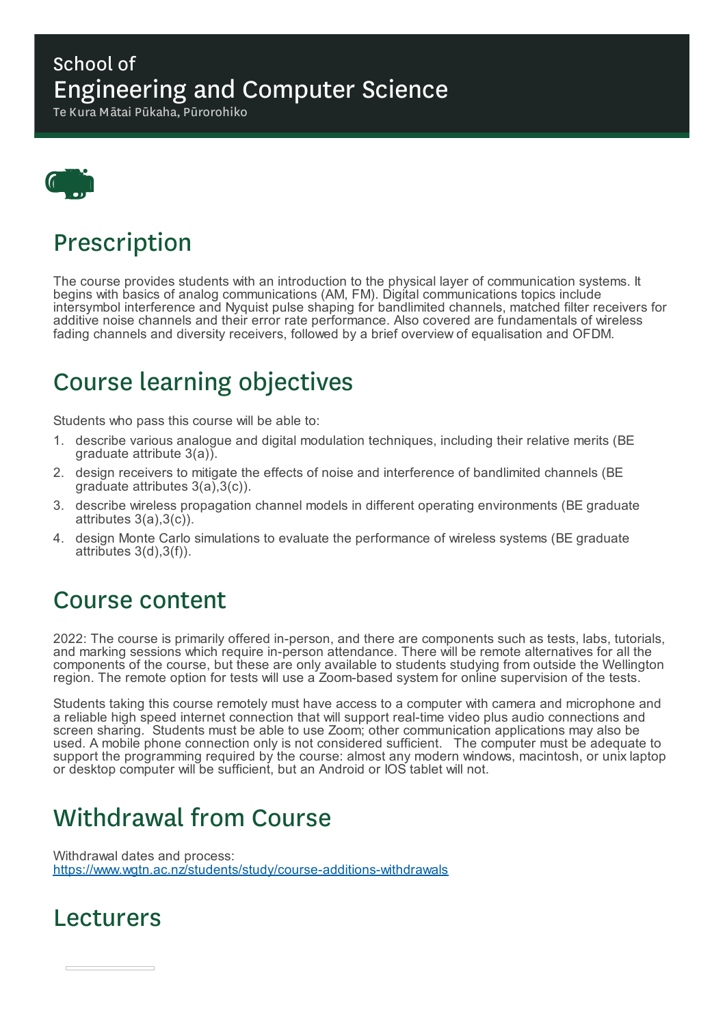### School of Engineering and Computer Science

Te Kura Mātai Pūkaha, Pūrorohiko



### Prescription

The course provides students with an introduction to the physical layer of communication systems. It begins with basics of analog communications (AM, FM). Digital communications topics include intersymbol interference and Nyquist pulse shaping for bandlimited channels, matched filter receivers for additive noise channels and their error rate performance. Also covered are fundamentals of wireless fading channels and diversity receivers, followed by a brief overview of equalisation and OFDM.

# Course learning objectives

Students who pass this course will be able to:

- 1. describe various analogue and digital modulation techniques, including their relative merits (BE graduate attribute 3(a)).
- 2. design receivers to mitigate the effects of noise and interference of bandlimited channels (BE graduate attributes 3(a),3(c)).
- 3. describe wireless propagation channel models in different operating environments (BE graduate attributes 3(a),3(c)).
- 4. design Monte Carlo simulations to evaluate the performance of wireless systems (BE graduate attributes 3(d),3(f)).

### Course content

2022: The course is primarily offered in-person, and there are components such as tests, labs, tutorials, and marking sessions which require in-person attendance. There will be remote alternatives for all the components of the course, but these are only available to students studying from outside the Wellington region. The remote option for tests will use a Zoom-based system for online supervision of the tests.

Students taking this course remotely must have access to a computer with camera and microphone and a reliable high speed internet connection that will support real-time video plus audio connections and screen sharing. Students must be able to use Zoom; other communication applications may also be used. A mobile phone connection only is not considered sufficient. The computer must be adequate to support the programming required by the course: almost any modern windows, macintosh, or unix laptop or desktop computer will be sufficient, but an Android or IOS tablet will not.

# Withdrawal from Course

Withdrawal dates and process: https://www.wgtn.ac.nz/students/study/course-additions-withdrawals

### Lecturers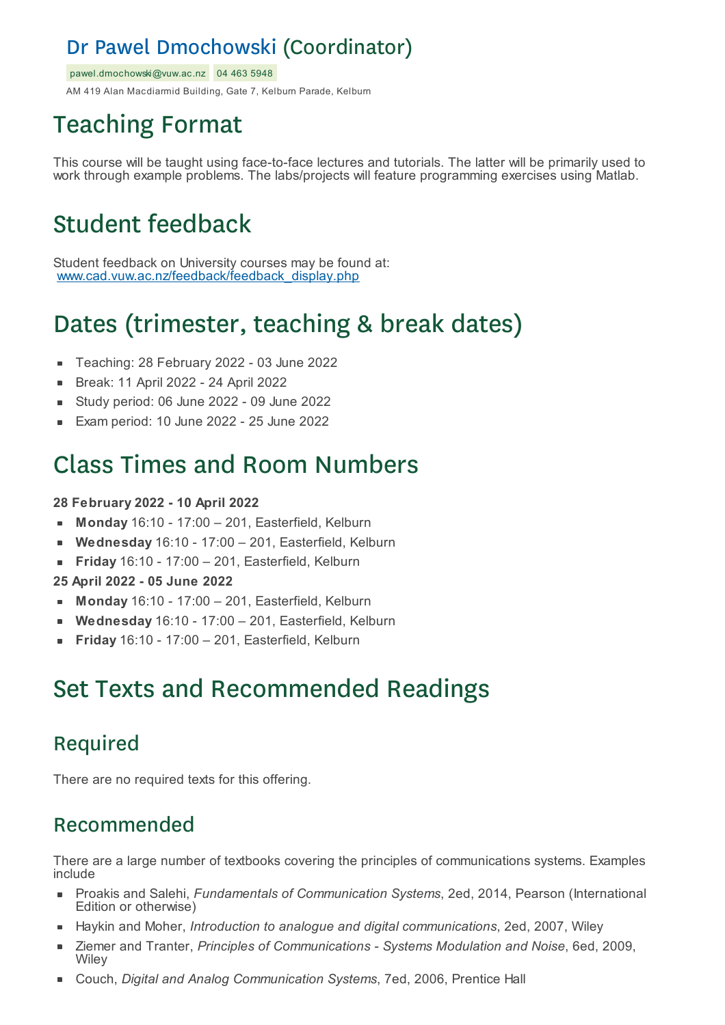### Dr Pawel Dmochowski (Coordinator)

pawel.dmochowski@vuw.ac.nz 04 463 5948

AM 419 Alan Macdiarmid Building, Gate 7, Kelburn Parade, Kelburn

# Teaching Format

This course will be taught using face-to-face lectures and tutorials. The latter will be primarily used to work through example problems. The labs/projects will feature programming exercises using Matlab.

# Student feedback

Student feedback on University courses may be found at: www.cad.vuw.ac.nz/feedback/feedback\_display.php

# Dates (trimester, teaching & break dates)

- Teaching: 28 February 2022 03 June 2022  $\blacksquare$
- Break: 11 April 2022 24 April 2022
- Study period: 06 June 2022 09 June 2022  $\blacksquare$
- Exam period: 10 June 2022 25 June 2022

### Class Times and Room Numbers

#### **28 February 2022 - 10 April 2022**

- **Monday** 16:10 17:00 201, Easterfield, Kelburn
- **Wednesday** 16:10 17:00 201, Easterfield, Kelburn  $\blacksquare$
- **Friday** 16:10 17:00 201, Easterfield, Kelburn

**25 April 2022 - 05 June 2022**

- **Monday** 16:10 17:00 201, Easterfield, Kelburn
- **Wednesday** 16:10 17:00 201, Easterfield, Kelburn
- **Friday** 16:10 17:00 201, Easterfield, Kelburn

### Set Texts and Recommended Readings

### Required

There are no required texts for this offering.

#### Recommended

There are a large number of textbooks covering the principles of communications systems. Examples include

- Proakis and Salehi, *Fundamentals of Communication Systems*, 2ed, 2014, Pearson (International  $\blacksquare$ Edition or otherwise)
- Haykin and Moher, *Introduction to analogue and digital communications*, 2ed, 2007, Wiley
- Ziemer and Tranter, *Principles of Communications - Systems Modulation and Noise*, 6ed, 2009, **Wiley**
- Couch, *Digital and Analog Communication Systems*, 7ed, 2006, Prentice Hall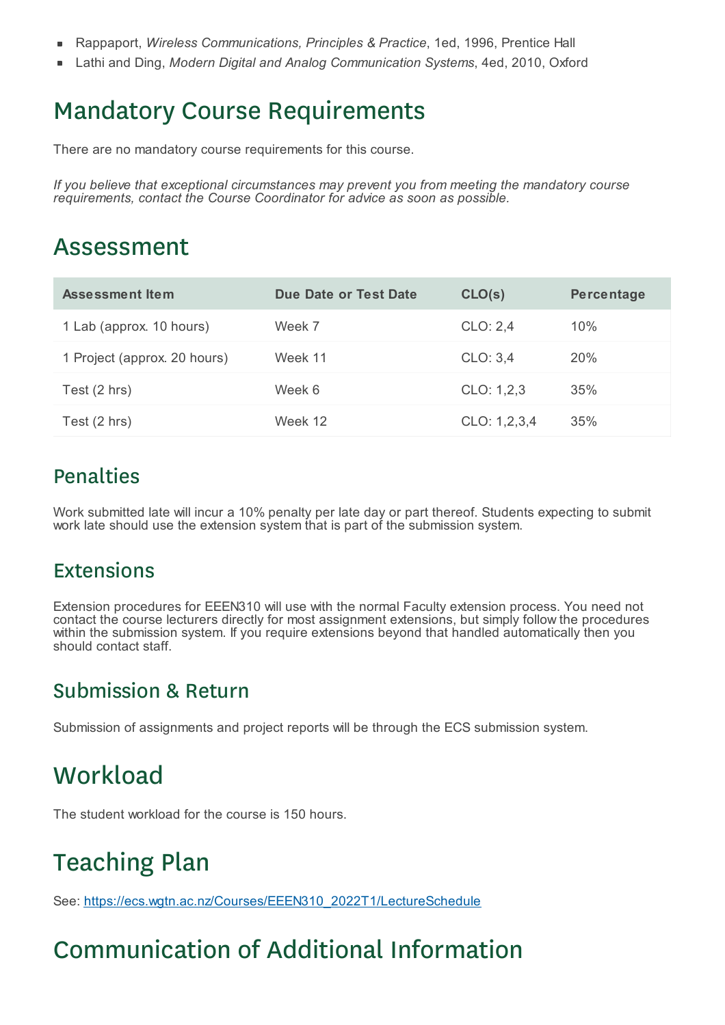- É Rappaport, *Wireless Communications, Principles & Practice*, 1ed, 1996, Prentice Hall
- Lathi and Ding, *Modern Digital and Analog Communication Systems*, 4ed, 2010, Oxford  $\blacksquare$

## Mandatory Course Requirements

There are no mandatory course requirements for this course.

*If you believe that exceptional circumstances may prevent you from meeting the mandatory course requirements, contact the Course Coordinator for advice as soon as possible.*

### Assessment

| Assessment Item              | Due Date or Test Date | CLO(s)       | Percentage |
|------------------------------|-----------------------|--------------|------------|
| 1 Lab (approx. 10 hours)     | Week 7                | CLO: 2,4     | 10%        |
| 1 Project (approx. 20 hours) | Week 11               | CLO: 3,4     | <b>20%</b> |
| Test (2 hrs)                 | Week 6                | CLO: 1,2,3   | 35%        |
| Test (2 hrs)                 | Week 12               | CLO: 1,2,3,4 | 35%        |

#### Penalties

Work submitted late will incur a 10% penalty per late day or part thereof. Students expecting to submit work late should use the extension system that is part of the submission system.

#### Extensions

Extension procedures for EEEN310 will use with the normal Faculty extension process. You need not contact the course lecturers directly for most assignment extensions, but simply follow the procedures within the submission system. If you require extensions beyond that handled automatically then you should contact staff.

#### Submission & Return

Submission of assignments and project reports will be through the ECS submission system.

### **Workload**

The student workload for the course is 150 hours.

## Teaching Plan

See: https://ecs.wgtn.ac.nz/Courses/EEEN310\_2022T1/LectureSchedule

## Communication of Additional Information